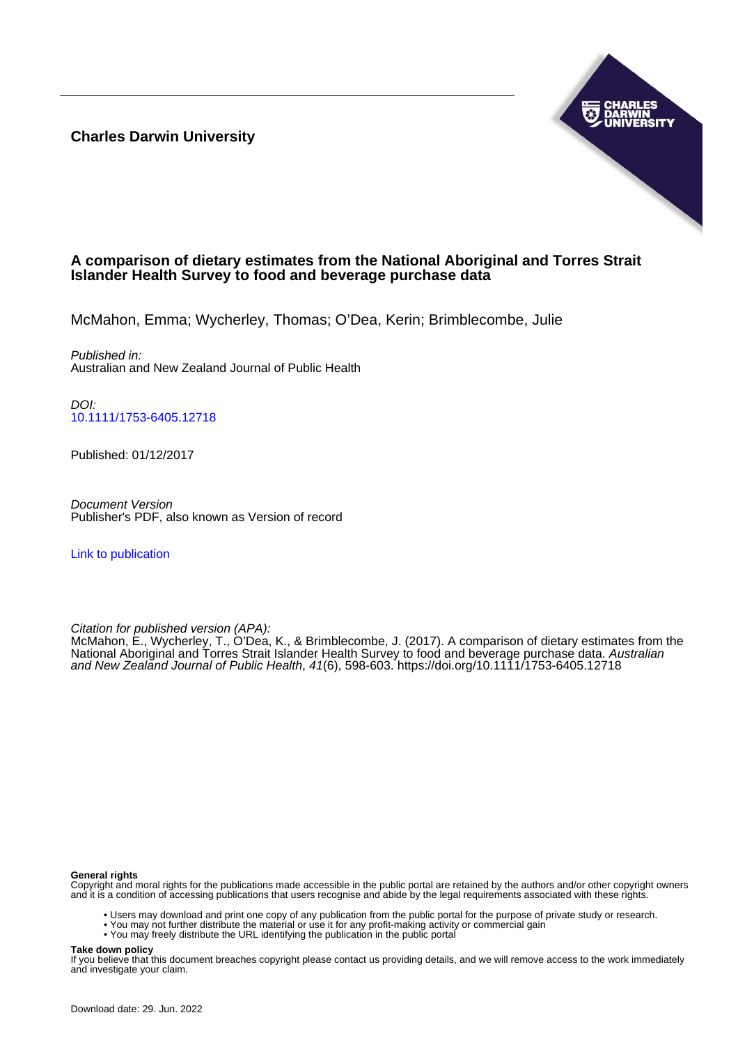**Charles Darwin University**



# **A comparison of dietary estimates from the National Aboriginal and Torres Strait Islander Health Survey to food and beverage purchase data**

McMahon, Emma; Wycherley, Thomas; O'Dea, Kerin; Brimblecombe, Julie

Published in: Australian and New Zealand Journal of Public Health

DOI: [10.1111/1753-6405.12718](https://doi.org/10.1111/1753-6405.12718)

Published: 01/12/2017

Document Version Publisher's PDF, also known as Version of record

[Link to publication](https://researchers.cdu.edu.au/en/publications/f53d7d1c-fbbf-45af-81b6-d9c570e7d81a)

Citation for published version (APA):

McMahon, E., Wycherley, T., O'Dea, K., & Brimblecombe, J. (2017). A comparison of dietary estimates from the National Aboriginal and Torres Strait Islander Health Survey to food and beverage purchase data. Australian and New Zealand Journal of Public Health, 41(6), 598-603.<https://doi.org/10.1111/1753-6405.12718>

#### **General rights**

Copyright and moral rights for the publications made accessible in the public portal are retained by the authors and/or other copyright owners and it is a condition of accessing publications that users recognise and abide by the legal requirements associated with these rights.

- Users may download and print one copy of any publication from the public portal for the purpose of private study or research.
- You may not further distribute the material or use it for any profit-making activity or commercial gain
- You may freely distribute the URL identifying the publication in the public portal

#### **Take down policy**

If you believe that this document breaches copyright please contact us providing details, and we will remove access to the work immediately and investigate your claim.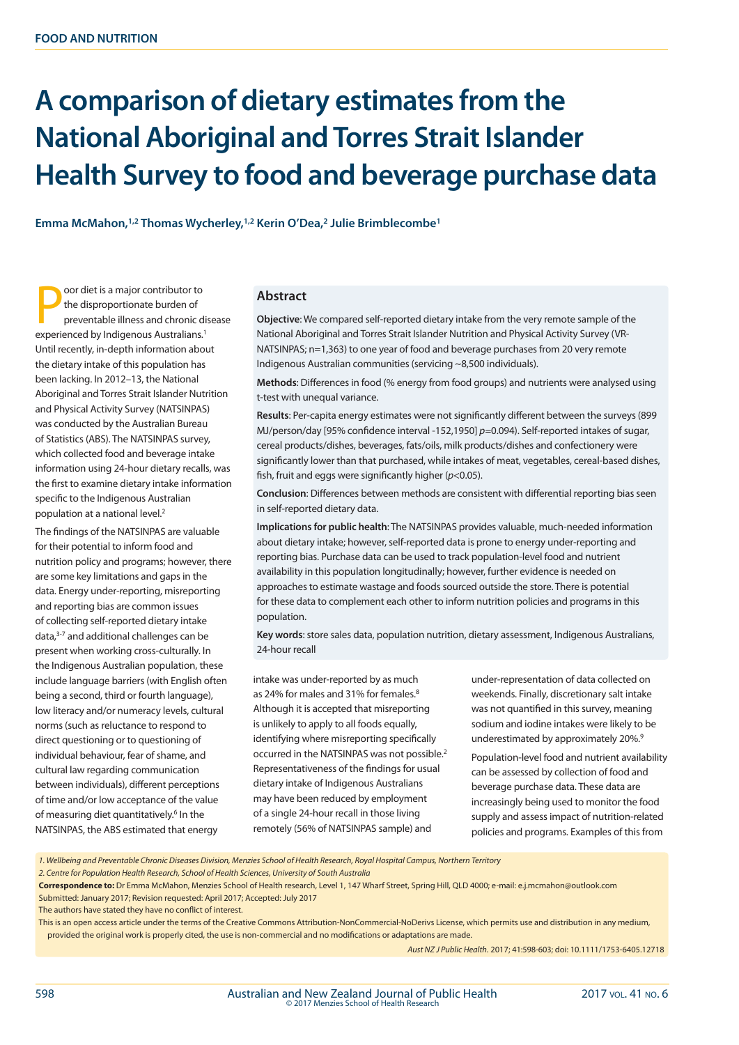# **A comparison of dietary estimates from the National Aboriginal and Torres Strait Islander Health Survey to food and beverage purchase data**

**Emma McMahon,1,2 Thomas Wycherley,1,2 Kerin O'Dea,2 Julie Brimblecombe1**

**Poor diet is a major contributor to**<br>the disproportionate burden of<br>preventable illness and chronic di<br>experienced by Indigenous Australians.<sup>1</sup> oor diet is a major contributor to the disproportionate burden of preventable illness and chronic disease Until recently, in-depth information about the dietary intake of this population has been lacking. In 2012–13, the National Aboriginal and Torres Strait Islander Nutrition and Physical Activity Survey (NATSINPAS) was conducted by the Australian Bureau of Statistics (ABS). The NATSINPAS survey, which collected food and beverage intake information using 24-hour dietary recalls, was the first to examine dietary intake information specific to the Indigenous Australian population at a national level.2

The findings of the NATSINPAS are valuable for their potential to inform food and nutrition policy and programs; however, there are some key limitations and gaps in the data. Energy under-reporting, misreporting and reporting bias are common issues of collecting self-reported dietary intake data,3-7 and additional challenges can be present when working cross-culturally. In the Indigenous Australian population, these include language barriers (with English often being a second, third or fourth language), low literacy and/or numeracy levels, cultural norms (such as reluctance to respond to direct questioning or to questioning of individual behaviour, fear of shame, and cultural law regarding communication between individuals), different perceptions of time and/or low acceptance of the value of measuring diet quantitatively.<sup>6</sup> In the NATSINPAS, the ABS estimated that energy

#### **Abstract**

**Objective**: We compared self-reported dietary intake from the very remote sample of the National Aboriginal and Torres Strait Islander Nutrition and Physical Activity Survey (VR-NATSINPAS; n=1,363) to one year of food and beverage purchases from 20 very remote Indigenous Australian communities (servicing ~8,500 individuals).

**Methods**: Differences in food (% energy from food groups) and nutrients were analysed using t-test with unequal variance.

**Results**: Per-capita energy estimates were not significantly different between the surveys (899 MJ/person/day [95% confidence interval -152,1950] *p=*0.094). Self-reported intakes of sugar, cereal products/dishes, beverages, fats/oils, milk products/dishes and confectionery were significantly lower than that purchased, while intakes of meat, vegetables, cereal-based dishes, fish, fruit and eggs were significantly higher (*p*<0.05).

**Conclusion**: Differences between methods are consistent with differential reporting bias seen in self-reported dietary data.

**Implications for public health**: The NATSINPAS provides valuable, much-needed information about dietary intake; however, self-reported data is prone to energy under-reporting and reporting bias. Purchase data can be used to track population-level food and nutrient availability in this population longitudinally; however, further evidence is needed on approaches to estimate wastage and foods sourced outside the store. There is potential for these data to complement each other to inform nutrition policies and programs in this population.

**Key words**: store sales data, population nutrition, dietary assessment, Indigenous Australians, 24-hour recall

intake was under-reported by as much as 24% for males and 31% for females.<sup>8</sup> Although it is accepted that misreporting is unlikely to apply to all foods equally, identifying where misreporting specifically occurred in the NATSINPAS was not possible.2 Representativeness of the findings for usual dietary intake of Indigenous Australians may have been reduced by employment of a single 24-hour recall in those living remotely (56% of NATSINPAS sample) and

under-representation of data collected on weekends. Finally, discretionary salt intake was not quantified in this survey, meaning sodium and iodine intakes were likely to be underestimated by approximately 20%.<sup>9</sup>

Population-level food and nutrient availability can be assessed by collection of food and beverage purchase data. These data are increasingly being used to monitor the food supply and assess impact of nutrition-related policies and programs. Examples of this from

*1. Wellbeing and Preventable Chronic Diseases Division, Menzies School of Health Research, Royal Hospital Campus, Northern Territory* 

*2. Centre for Population Health Research, School of Health Sciences, University of South Australia*

**Correspondence to:** Dr Emma McMahon, Menzies School of Health research, Level 1, 147 Wharf Street, Spring Hill, QLD 4000; e-mail: e.j.mcmahon@outlook.com Submitted: January 2017; Revision requested: April 2017; Accepted: July 2017

The authors have stated they have no conflict of interest.

This is an open access article under the terms of the Creative Commons Attribution-NonCommercial-NoDerivs License, which permits use and distribution in any medium, provided the original work is properly cited, the use is non-commercial and no modifications or adaptations are made.

*Aust NZ J Public Health.* 2017; 41:598-603; doi: 10.1111/1753-6405.12718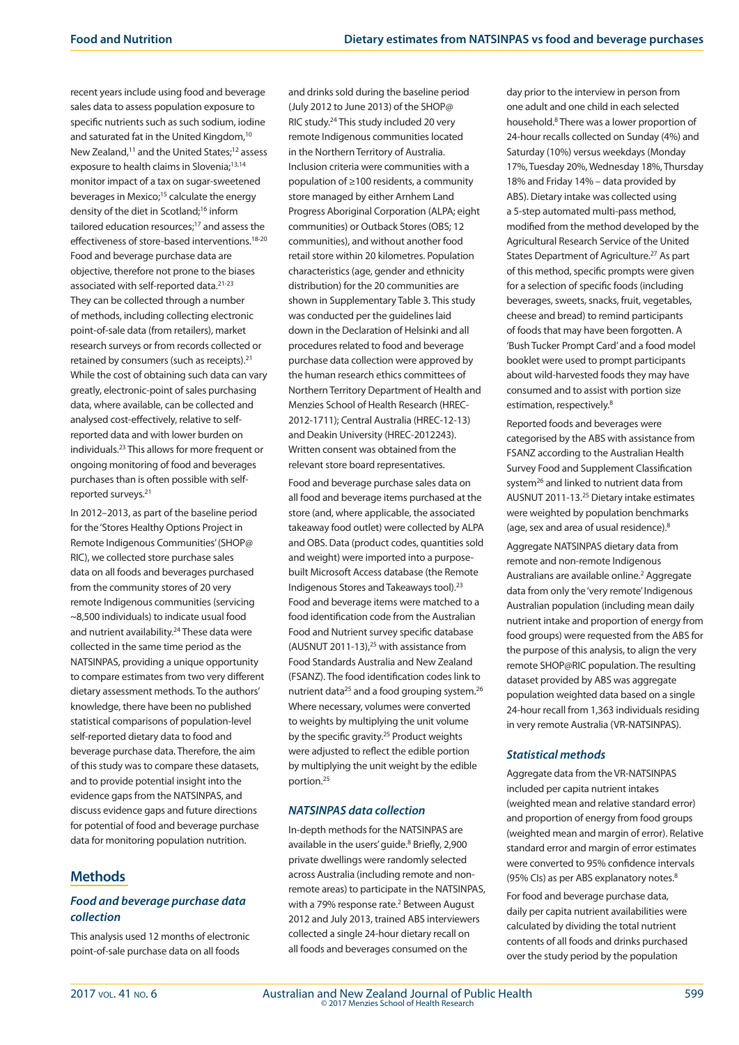recent years include using food and beverage sales data to assess population exposure to specific nutrients such as such sodium, iodine and saturated fat in the United Kingdom.<sup>10</sup> New Zealand,<sup>11</sup> and the United States;<sup>12</sup> assess exposure to health claims in Slovenia;<sup>13,14</sup> monitor impact of a tax on sugar-sweetened beverages in Mexico;<sup>15</sup> calculate the energy density of the diet in Scotland;<sup>16</sup> inform tailored education resources;17 and assess the effectiveness of store-based interventions.18-20 Food and beverage purchase data are objective, therefore not prone to the biases associated with self-reported data.21-23 They can be collected through a number of methods, including collecting electronic point-of-sale data (from retailers), market research surveys or from records collected or retained by consumers (such as receipts).<sup>21</sup> While the cost of obtaining such data can vary greatly, electronic-point of sales purchasing data, where available, can be collected and analysed cost-effectively, relative to selfreported data and with lower burden on individuals.23 This allows for more frequent or ongoing monitoring of food and beverages purchases than is often possible with selfreported surveys.21

In 2012–2013, as part of the baseline period for the 'Stores Healthy Options Project in Remote Indigenous Communities' (SHOP@ RIC), we collected store purchase sales data on all foods and beverages purchased from the community stores of 20 very remote Indigenous communities (servicing ~8,500 individuals) to indicate usual food and nutrient availability.<sup>24</sup> These data were collected in the same time period as the NATSINPAS, providing a unique opportunity to compare estimates from two very different dietary assessment methods. To the authors' knowledge, there have been no published statistical comparisons of population-level self-reported dietary data to food and beverage purchase data. Therefore, the aim of this study was to compare these datasets, and to provide potential insight into the evidence gaps from the NATSINPAS, and discuss evidence gaps and future directions for potential of food and beverage purchase data for monitoring population nutrition.

# **Methods**

### *Food and beverage purchase data collection*

This analysis used 12 months of electronic point-of-sale purchase data on all foods

and drinks sold during the baseline period (July 2012 to June 2013) of the SHOP@ RIC study.24 This study included 20 very remote Indigenous communities located in the Northern Territory of Australia. Inclusion criteria were communities with a population of ≥100 residents, a community store managed by either Arnhem Land Progress Aboriginal Corporation (ALPA; eight communities) or Outback Stores (OBS; 12 communities), and without another food retail store within 20 kilometres. Population characteristics (age, gender and ethnicity distribution) for the 20 communities are shown in Supplementary Table 3. This study was conducted per the guidelines laid down in the Declaration of Helsinki and all procedures related to food and beverage purchase data collection were approved by the human research ethics committees of Northern Territory Department of Health and Menzies School of Health Research (HREC-2012-1711); Central Australia (HREC-12-13) and Deakin University (HREC-2012243). Written consent was obtained from the relevant store board representatives.

Food and beverage purchase sales data on all food and beverage items purchased at the store (and, where applicable, the associated takeaway food outlet) were collected by ALPA and OBS. Data (product codes, quantities sold and weight) were imported into a purposebuilt Microsoft Access database (the Remote Indigenous Stores and Takeaways tool).23 Food and beverage items were matched to a food identification code from the Australian Food and Nutrient survey specific database (AUSNUT 2011-13),<sup>25</sup> with assistance from Food Standards Australia and New Zealand (FSANZ). The food identification codes link to nutrient data<sup>25</sup> and a food grouping system.<sup>26</sup> Where necessary, volumes were converted to weights by multiplying the unit volume by the specific gravity.<sup>25</sup> Product weights were adjusted to reflect the edible portion by multiplying the unit weight by the edible portion.25

#### *NATSINPAS data collection*

In-depth methods for the NATSINPAS are available in the users' guide.<sup>8</sup> Briefly, 2,900 private dwellings were randomly selected across Australia (including remote and nonremote areas) to participate in the NATSINPAS, with a 79% response rate.<sup>2</sup> Between August 2012 and July 2013, trained ABS interviewers collected a single 24-hour dietary recall on all foods and beverages consumed on the

day prior to the interview in person from one adult and one child in each selected household.8 There was a lower proportion of 24-hour recalls collected on Sunday (4%) and Saturday (10%) versus weekdays (Monday 17%, Tuesday 20%, Wednesday 18%, Thursday 18% and Friday 14% – data provided by ABS). Dietary intake was collected using a 5-step automated multi-pass method, modified from the method developed by the Agricultural Research Service of the United States Department of Agriculture.<sup>27</sup> As part of this method, specific prompts were given for a selection of specific foods (including beverages, sweets, snacks, fruit, vegetables, cheese and bread) to remind participants of foods that may have been forgotten. A 'Bush Tucker Prompt Card' and a food model booklet were used to prompt participants about wild-harvested foods they may have consumed and to assist with portion size estimation, respectively.<sup>8</sup>

Reported foods and beverages were categorised by the ABS with assistance from FSANZ according to the Australian Health Survey Food and Supplement Classification system<sup>26</sup> and linked to nutrient data from AUSNUT 2011-13.25 Dietary intake estimates were weighted by population benchmarks (age, sex and area of usual residence).8

Aggregate NATSINPAS dietary data from remote and non-remote Indigenous Australians are available online.<sup>2</sup> Aggregate data from only the 'very remote' Indigenous Australian population (including mean daily nutrient intake and proportion of energy from food groups) were requested from the ABS for the purpose of this analysis, to align the very remote SHOP@RIC population. The resulting dataset provided by ABS was aggregate population weighted data based on a single 24-hour recall from 1,363 individuals residing in very remote Australia (VR-NATSINPAS).

#### *Statistical methods*

Aggregate data from the VR-NATSINPAS included per capita nutrient intakes (weighted mean and relative standard error) and proportion of energy from food groups (weighted mean and margin of error). Relative standard error and margin of error estimates were converted to 95% confidence intervals (95% CIs) as per ABS explanatory notes.<sup>8</sup>

For food and beverage purchase data, daily per capita nutrient availabilities were calculated by dividing the total nutrient contents of all foods and drinks purchased over the study period by the population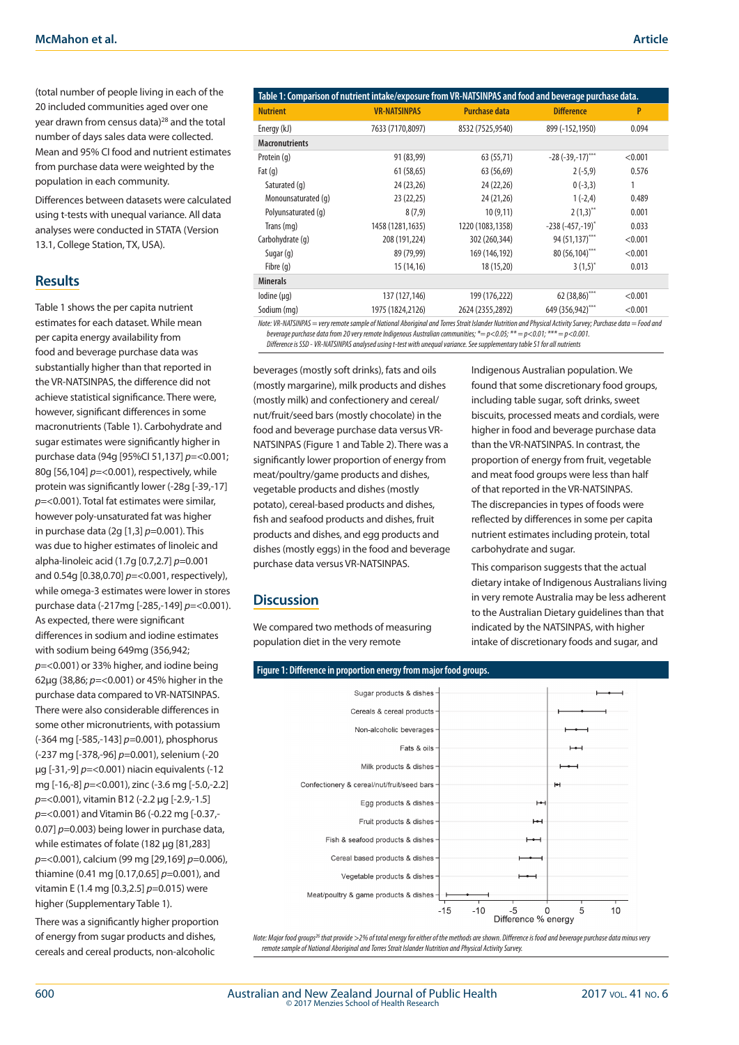Differences between datasets were calculated using t-tests with unequal variance. All data analyses were conducted in STATA (Version 13.1, College Station, TX, USA).

### **Results**

Table 1 shows the per capita nutrient estimates for each dataset. While mean per capita energy availability from food and beverage purchase data was substantially higher than that reported in the VR-NATSINPAS, the difference did not achieve statistical significance. There were, however, significant differences in some macronutrients (Table 1). Carbohydrate and sugar estimates were significantly higher in purchase data (94g [95%CI 51,137] *p=*<0.001; 80g [56,104] *p=*<0.001), respectively, while protein was significantly lower (-28g [-39,-17] *p=*<0.001). Total fat estimates were similar, however poly-unsaturated fat was higher in purchase data (2g [1,3] *p=*0.001). This was due to higher estimates of linoleic and alpha-linoleic acid (1.7g [0.7,2.7] *p=*0.001 and 0.54g [0.38,0.70] *p=*<0.001, respectively), while omega-3 estimates were lower in stores purchase data (-217mg [-285,-149] *p=*<0.001). As expected, there were significant differences in sodium and iodine estimates with sodium being 649mg (356,942; *p=*<0.001) or 33% higher, and iodine being 62µg (38,86; *p=*<0.001) or 45% higher in the purchase data compared to VR-NATSINPAS. There were also considerable differences in some other micronutrients, with potassium (-364 mg [-585,-143] *p=*0.001), phosphorus (-237 mg [-378,-96] *p=*0.001), selenium (-20 µg [-31,-9] *p=*<0.001) niacin equivalents (-12 mg [-16,-8] *p=*<0.001), zinc (-3.6 mg [-5.0,-2.2] *p=*<0.001), vitamin B12 (-2.2 µg [-2.9,-1.5] *p=*<0.001) and Vitamin B6 (-0.22 mg [-0.37,- 0.07] *p=*0.003) being lower in purchase data, while estimates of folate (182 µg [81,283] *p=*<0.001), calcium (99 mg [29,169] *p=*0.006), thiamine (0.41 mg [0.17,0.65] *p=*0.001), and vitamin E (1.4 mg [0.3,2.5] *p=*0.015) were higher (Supplementary Table 1).

There was a significantly higher proportion of energy from sugar products and dishes, cereals and cereal products, non-alcoholic

| Table 1: Comparison of nutrient intake/exposure from VR-NATSINPAS and food and beverage purchase data.                                                     |                     |                      |                            |         |  |  |
|------------------------------------------------------------------------------------------------------------------------------------------------------------|---------------------|----------------------|----------------------------|---------|--|--|
| <b>Nutrient</b>                                                                                                                                            | <b>VR-NATSINPAS</b> | <b>Purchase data</b> | <b>Difference</b>          | P       |  |  |
| Energy (kJ)                                                                                                                                                | 7633 (7170,8097)    | 8532 (7525,9540)     | 899 (-152,1950)            | 0.094   |  |  |
| <b>Macronutrients</b>                                                                                                                                      |                     |                      |                            |         |  |  |
| Protein (q)                                                                                                                                                | 91 (83,99)          | 63 (55,71)           | $-28$ ( $-39, -17$ )***    | < 0.001 |  |  |
| Fat $(q)$                                                                                                                                                  | 61 (58,65)          | 63 (56,69)           | $2(-5,9)$                  | 0.576   |  |  |
| Saturated (q)                                                                                                                                              | 24 (23,26)          | 24 (22,26)           | $0(-3,3)$                  | 1       |  |  |
| Monounsaturated (q)                                                                                                                                        | 23 (22,25)          | 24 (21,26)           | $1(-2,4)$                  | 0.489   |  |  |
| Polyunsaturated (q)                                                                                                                                        | 8(7,9)              | 10(9,11)             | $2(1,3)$ <sup>**</sup>     | 0.001   |  |  |
| Trans (mg)                                                                                                                                                 | 1458 (1281, 1635)   | 1220 (1083,1358)     | $-238(-457,-19)^{*}$       | 0.033   |  |  |
| Carbohydrate (q)                                                                                                                                           | 208 (191,224)       | 302 (260,344)        | 94 (51,137)***             | < 0.001 |  |  |
| Sugar $(q)$                                                                                                                                                | 89 (79,99)          | 169 (146,192)        | 80 (56,104)***             | < 0.001 |  |  |
| Fibre $(q)$                                                                                                                                                | 15 (14,16)          | 18 (15,20)           | $3(1,5)^{*}$               | 0.013   |  |  |
| <b>Minerals</b>                                                                                                                                            |                     |                      |                            |         |  |  |
| $I$ odine ( $\mu$ g)                                                                                                                                       | 137 (127,146)       | 199 (176,222)        | $62(38,86)$ <sup>***</sup> | < 0.001 |  |  |
| Sodium (mg)                                                                                                                                                | 1975 (1824,2126)    | 2624 (2355,2892)     | 649 (356,942)***           | < 0.001 |  |  |
| Note: VR-NATSINPAS = very remote sample of National Aboriginal and Torres Strait Islander Nutrition and Physical Activity Survey; Purchase data = Food and |                     |                      |                            |         |  |  |

*beverage purchase data from 20 very remote Indigenous Australian communities; \*= p<0.05; \*\* = p<0.01; \*\*\* = p<0.001. Difference is SSD - VR-NATSINPAS analysed using t-test with unequal variance. See supplementary table S1 for all nutrients*

beverages (mostly soft drinks), fats and oils (mostly margarine), milk products and dishes (mostly milk) and confectionery and cereal/ nut/fruit/seed bars (mostly chocolate) in the food and beverage purchase data versus VR-NATSINPAS (Figure 1 and Table 2). There was a significantly lower proportion of energy from meat/poultry/game products and dishes, vegetable products and dishes (mostly potato), cereal-based products and dishes, fish and seafood products and dishes, fruit products and dishes, and egg products and dishes (mostly eggs) in the food and beverage purchase data versus VR-NATSINPAS.

# **Discussion**

We compared two methods of measuring population diet in the very remote

Indigenous Australian population. We found that some discretionary food groups, including table sugar, soft drinks, sweet biscuits, processed meats and cordials, were higher in food and beverage purchase data than the VR-NATSINPAS. In contrast, the proportion of energy from fruit, vegetable and meat food groups were less than half of that reported in the VR-NATSINPAS. The discrepancies in types of foods were reflected by differences in some per capita nutrient estimates including protein, total carbohydrate and sugar.

This comparison suggests that the actual dietary intake of Indigenous Australians living in very remote Australia may be less adherent to the Australian Dietary guidelines than that indicated by the NATSINPAS, with higher intake of discretionary foods and sugar, and



*Note: Major food groups26 that provide >2% of total energy for either of the methods are shown. Difference is food and beverage purchase data minus very remote sample of National Aboriginal and Torres Strait Islander Nutrition and Physical Activity Survey.*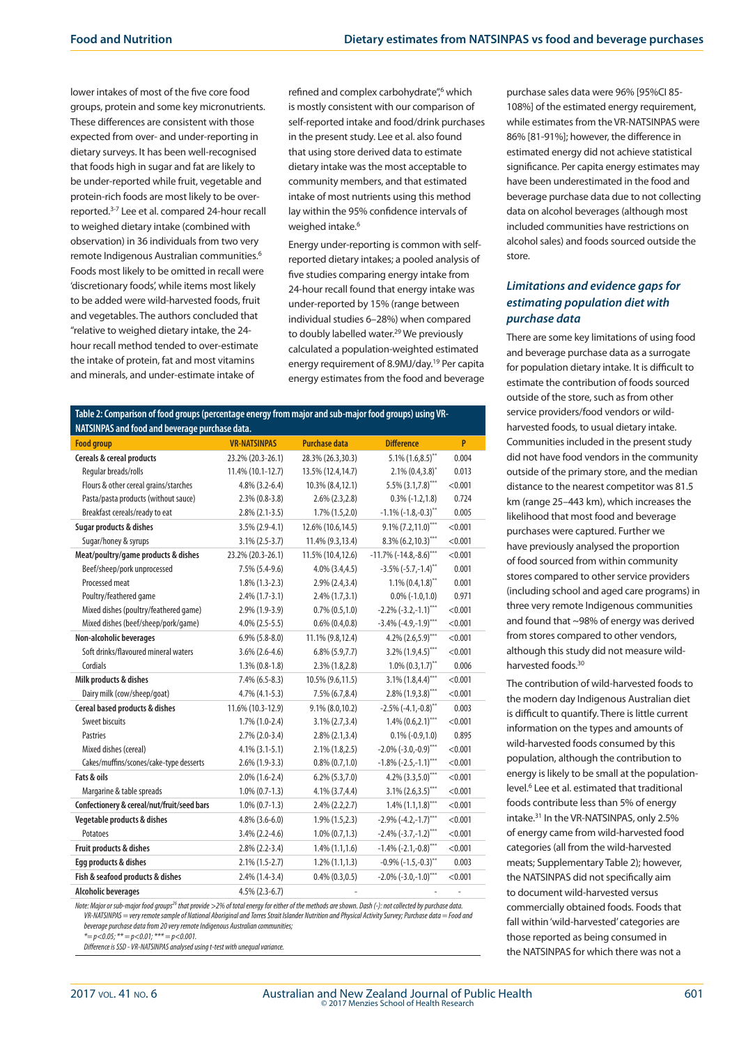lower intakes of most of the five core food groups, protein and some key micronutrients. These differences are consistent with those expected from over- and under-reporting in dietary surveys. It has been well-recognised that foods high in sugar and fat are likely to be under-reported while fruit, vegetable and protein-rich foods are most likely to be overreported.3-7 Lee et al. compared 24-hour recall to weighed dietary intake (combined with observation) in 36 individuals from two very remote Indigenous Australian communities.6 Foods most likely to be omitted in recall were 'discretionary foods', while items most likely to be added were wild-harvested foods, fruit and vegetables. The authors concluded that "relative to weighed dietary intake, the 24 hour recall method tended to over-estimate the intake of protein, fat and most vitamins and minerals, and under-estimate intake of

refined and complex carbohydrate",<sup>6</sup> which is mostly consistent with our comparison of self-reported intake and food/drink purchases in the present study. Lee et al. also found that using store derived data to estimate dietary intake was the most acceptable to community members, and that estimated intake of most nutrients using this method lay within the 95% confidence intervals of weighed intake.<sup>6</sup>

Energy under-reporting is common with selfreported dietary intakes; a pooled analysis of five studies comparing energy intake from 24-hour recall found that energy intake was under-reported by 15% (range between individual studies 6–28%) when compared to doubly labelled water.<sup>29</sup> We previously calculated a population-weighted estimated energy requirement of 8.9MJ/day.19 Per capita energy estimates from the food and beverage

| Table 2: Comparison of food groups (percentage energy from major and sub-major food groups) using VR- |                     |                      |                                         |                |  |  |  |
|-------------------------------------------------------------------------------------------------------|---------------------|----------------------|-----------------------------------------|----------------|--|--|--|
| NATSINPAS and food and beverage purchase data.                                                        |                     |                      |                                         |                |  |  |  |
| <b>Food group</b>                                                                                     | <b>VR-NATSINPAS</b> | <b>Purchase data</b> | <b>Difference</b>                       | P              |  |  |  |
| <b>Cereals &amp; cereal products</b>                                                                  | 23.2% (20.3-26.1)   | 28.3% (26.3,30.3)    | $5.1\%$ (1.6,8.5)**                     | 0.004          |  |  |  |
| Regular breads/rolls                                                                                  | 11.4% (10.1-12.7)   | 13.5% (12.4,14.7)    | $2.1\% (0.4, 3.8)^*$                    | 0.013          |  |  |  |
| Flours & other cereal grains/starches                                                                 | $4.8\%$ (3.2-6.4)   | 10.3% (8.4,12.1)     | $5.5\%$ (3.1,7.8)***                    | < 0.001        |  |  |  |
| Pasta/pasta products (without sauce)                                                                  | $2.3\%$ (0.8-3.8)   | $2.6\%$ (2.3, 2.8)   | $0.3\%(-1.2,1.8)$                       | 0.724          |  |  |  |
| Breakfast cereals/ready to eat                                                                        | $2.8\%$ (2.1-3.5)   | $1.7\%$ (1.5,2.0)    | $-1.1\%$ ( $-1.8, -0.3$ ) <sup>**</sup> | 0.005          |  |  |  |
| Sugar products & dishes                                                                               | $3.5\%$ (2.9-4.1)   | 12.6% (10.6,14.5)    | $9.1\%$ (7.2,11.0)***                   | < 0.001        |  |  |  |
| Sugar/honey & syrups                                                                                  | $3.1\% (2.5-3.7)$   | 11.4% (9.3,13.4)     | $8.3\%$ (6.2, 10.3)***                  | < 0.001        |  |  |  |
| Meat/poultry/game products & dishes                                                                   | 23.2% (20.3-26.1)   | 11.5% (10.4,12.6)    | $-11.7\%$ ( $-14.8,-8.6$ )***           | < 0.001        |  |  |  |
| Beef/sheep/pork unprocessed                                                                           | $7.5\%$ (5.4-9.6)   | $4.0\%$ $(3.4, 4.5)$ | $-3.5\%$ (-5.7,-1.4)**                  | 0.001          |  |  |  |
| Processed meat                                                                                        | $1.8\%$ (1.3-2.3)   | $2.9\%$ (2.4,3.4)    | $1.1\%$ (0.4,1.8) <sup>**</sup>         | 0.001          |  |  |  |
| Poultry/feathered game                                                                                | $2.4\%$ (1.7-3.1)   | $2.4\%$ (1.7,3.1)    | $0.0\%$ (-1.0,1.0)                      | 0.971          |  |  |  |
| Mixed dishes (poultry/feathered game)                                                                 | 2.9% (1.9-3.9)      | $0.7\%$ $(0.5,1.0)$  | $-2.2\%$ (-3.2,-1.1)***                 | < 0.001        |  |  |  |
| Mixed dishes (beef/sheep/pork/game)                                                                   | $4.0\%$ (2.5-5.5)   | $0.6\%$ $(0.4, 0.8)$ | $-3.4\%$ (-4.9,-1.9) <sup>***</sup>     | < 0.001        |  |  |  |
| Non-alcoholic beverages                                                                               | $6.9\%$ $(5.8-8.0)$ | 11.1% (9.8,12.4)     | 4.2% $(2.6,5.9)$ ***                    | < 0.001        |  |  |  |
| Soft drinks/flavoured mineral waters                                                                  | $3.6\%$ (2.6-4.6)   | $6.8\%$ (5.9,7.7)    | $3.2\%$ (1.9,4.5)***                    | < 0.001        |  |  |  |
| Cordials                                                                                              | $1.3\%$ (0.8-1.8)   | $2.3\%$ (1.8,2.8)    | $1.0\%$ (0.3,1.7) <sup>**</sup>         | 0.006          |  |  |  |
| Milk products & dishes                                                                                | $7.4\%$ (6.5-8.3)   | 10.5% (9.6,11.5)     | $3.1\%$ (1.8,4.4)***                    | < 0.001        |  |  |  |
| Dairy milk (cow/sheep/goat)                                                                           | $4.7\%$ (4.1-5.3)   | $7.5\%$ (6.7,8.4)    | $2.8\%$ (1.9,3.8)***                    | < 0.001        |  |  |  |
| Cereal based products & dishes                                                                        | 11.6% (10.3-12.9)   | $9.1\% (8.0, 10.2)$  | $-2.5\%$ (-4.1,-0.8) <sup>**</sup>      | 0.003          |  |  |  |
| <b>Sweet biscuits</b>                                                                                 | $1.7\%$ (1.0-2.4)   | $3.1\% (2.7, 3.4)$   | $1.4\%$ $(0.6, 2.1)$ ***                | < 0.001        |  |  |  |
| Pastries                                                                                              | $2.7\%$ (2.0-3.4)   | $2.8\%$ (2.1,3.4)    | $0.1\% (-0.9, 1.0)$                     | 0.895          |  |  |  |
| Mixed dishes (cereal)                                                                                 | $4.1\%$ (3.1-5.1)   | $2.1\%$ (1.8,2.5)    | $-2.0\%$ (-3.0,-0.9) <sup>***</sup>     | < 0.001        |  |  |  |
| Cakes/muffins/scones/cake-type desserts                                                               | $2.6\%$ (1.9-3.3)   | $0.8\%$ $(0.7,1.0)$  | $-1.8\%$ (-2.5,-1.1) <sup>***</sup>     | < 0.001        |  |  |  |
| Fats & oils                                                                                           | $2.0\%$ (1.6-2.4)   | $6.2\% (5.3,7.0)$    | $4.2\%$ $(3.3,5.0)$ ***                 | < 0.001        |  |  |  |
| Margarine & table spreads                                                                             | $1.0\% (0.7-1.3)$   | $4.1\%$ (3.7,4.4)    | $3.1\%$ (2.6,3.5)***                    | < 0.001        |  |  |  |
| Confectionery & cereal/nut/fruit/seed bars                                                            | $1.0\%$ (0.7-1.3)   | $2.4\% (2.2, 2.7)$   | $1.4\%$ $(1.1, 1.8)$ ***                | < 0.001        |  |  |  |
| Vegetable products & dishes                                                                           | $4.8\%$ (3.6-6.0)   | $1.9\%$ (1.5,2.3)    | $-2.9\%$ (-4.2,-1.7) <sup>***</sup>     | < 0.001        |  |  |  |
| Potatoes                                                                                              | $3.4\%$ (2.2-4.6)   | $1.0\% (0.7, 1.3)$   | $-2.4\%$ (-3.7,-1.2) <sup>***</sup>     | < 0.001        |  |  |  |
| Fruit products & dishes                                                                               | $2.8\%$ (2.2-3.4)   | $1.4\%$ (1.1,1.6)    | $-1.4\%$ (-2.1,-0.8) <sup>***</sup>     | < 0.001        |  |  |  |
| Egg products & dishes                                                                                 | $2.1\%$ (1.5-2.7)   | $1.2\%$ (1.1,1.3)    | $-0.9\%$ (-1.5,-0.3) <sup>**</sup>      | 0.003          |  |  |  |
| Fish & seafood products & dishes                                                                      | $2.4\%$ (1.4-3.4)   | $0.4\%$ $(0.3, 0.5)$ | $-2.0\%$ (-3.0,-1.0) <sup>***</sup>     | < 0.001        |  |  |  |
| <b>Alcoholic beverages</b>                                                                            | $4.5\%$ (2.3-6.7)   |                      |                                         | $\overline{a}$ |  |  |  |

*Note: Major or sub-major food groups<sup>26</sup> that provide >2% of total energy for either of the methods are shown. Dash (-): not collected by purchase data. VR-NATSINPAS = very remote sample of National Aboriginal and Torres Strait Islander Nutrition and Physical Activity Survey; Purchase data = Food and beverage purchase data from 20 very remote Indigenous Australian communities;* 

*\*= p<0.05; \*\* = p<0.01; \*\*\* = p<0.001. Difference is SSD - VR-NATSINPAS analysed using t-test with unequal variance.* purchase sales data were 96% [95%CI 85- 108%] of the estimated energy requirement, while estimates from the VR-NATSINPAS were 86% [81-91%]; however, the difference in estimated energy did not achieve statistical significance. Per capita energy estimates may have been underestimated in the food and beverage purchase data due to not collecting data on alcohol beverages (although most included communities have restrictions on alcohol sales) and foods sourced outside the store

# *Limitations and evidence gaps for estimating population diet with purchase data*

There are some key limitations of using food and beverage purchase data as a surrogate for population dietary intake. It is difficult to estimate the contribution of foods sourced outside of the store, such as from other service providers/food vendors or wildharvested foods, to usual dietary intake. Communities included in the present study did not have food vendors in the community outside of the primary store, and the median distance to the nearest competitor was 81.5 km (range 25–443 km), which increases the likelihood that most food and beverage purchases were captured. Further we have previously analysed the proportion of food sourced from within community stores compared to other service providers (including school and aged care programs) in three very remote Indigenous communities and found that ~98% of energy was derived from stores compared to other vendors, although this study did not measure wildharvested foods.30

The contribution of wild-harvested foods to the modern day Indigenous Australian diet is difficult to quantify. There is little current information on the types and amounts of wild-harvested foods consumed by this population, although the contribution to energy is likely to be small at the populationlevel.<sup>6</sup> Lee et al. estimated that traditional foods contribute less than 5% of energy intake.31 In the VR-NATSINPAS, only 2.5% of energy came from wild-harvested food categories (all from the wild-harvested meats; Supplementary Table 2); however, the NATSINPAS did not specifically aim to document wild-harvested versus commercially obtained foods. Foods that fall within 'wild-harvested' categories are those reported as being consumed in the NATSINPAS for which there was not a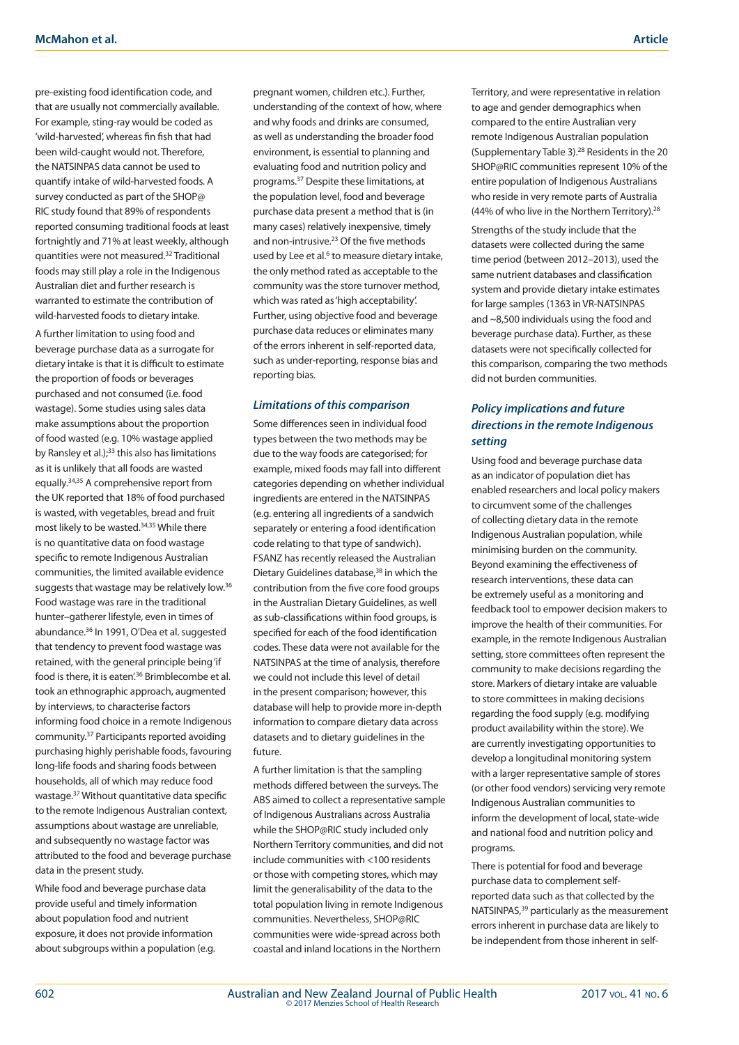pre-existing food identification code, and that are usually not commercially available. For example, sting-ray would be coded as 'wild-harvested', whereas fin fish that had been wild-caught would not. Therefore, the NATSINPAS data cannot be used to quantify intake of wild-harvested foods. A survey conducted as part of the SHOP@ RIC study found that 89% of respondents reported consuming traditional foods at least fortnightly and 71% at least weekly, although quantities were not measured.32 Traditional foods may still play a role in the Indigenous Australian diet and further research is warranted to estimate the contribution of wild-harvested foods to dietary intake.

A further limitation to using food and beverage purchase data as a surrogate for dietary intake is that it is difficult to estimate the proportion of foods or beverages purchased and not consumed (i.e. food wastage). Some studies using sales data make assumptions about the proportion of food wasted (e.g. 10% wastage applied by Ransley et al.);<sup>33</sup> this also has limitations as it is unlikely that all foods are wasted equally.34,35 A comprehensive report from the UK reported that 18% of food purchased is wasted, with vegetables, bread and fruit most likely to be wasted.34,35 While there is no quantitative data on food wastage specific to remote Indigenous Australian communities, the limited available evidence suggests that wastage may be relatively low.36 Food wastage was rare in the traditional hunter–gatherer lifestyle, even in times of abundance.36 In 1991, O'Dea et al. suggested that tendency to prevent food wastage was retained, with the general principle being 'if food is there, it is eaten<sup>'36</sup> Brimblecombe et al. took an ethnographic approach, augmented by interviews, to characterise factors informing food choice in a remote Indigenous community.37 Participants reported avoiding purchasing highly perishable foods, favouring long-life foods and sharing foods between households, all of which may reduce food wastage.37 Without quantitative data specific to the remote Indigenous Australian context, assumptions about wastage are unreliable, and subsequently no wastage factor was attributed to the food and beverage purchase data in the present study.

While food and beverage purchase data provide useful and timely information about population food and nutrient exposure, it does not provide information about subgroups within a population (e.g. pregnant women, children etc.). Further, understanding of the context of how, where and why foods and drinks are consumed, as well as understanding the broader food environment, is essential to planning and evaluating food and nutrition policy and programs.37 Despite these limitations, at the population level, food and beverage purchase data present a method that is (in many cases) relatively inexpensive, timely and non-intrusive.23 Of the five methods used by Lee et al.<sup>6</sup> to measure dietary intake, the only method rated as acceptable to the community was the store turnover method, which was rated as 'high acceptability'. Further, using objective food and beverage purchase data reduces or eliminates many of the errors inherent in self-reported data, such as under-reporting, response bias and reporting bias.

#### *Limitations of this comparison*

Some differences seen in individual food types between the two methods may be due to the way foods are categorised; for example, mixed foods may fall into different categories depending on whether individual ingredients are entered in the NATSINPAS (e.g. entering all ingredients of a sandwich separately or entering a food identification code relating to that type of sandwich). FSANZ has recently released the Australian Dietary Guidelines database,<sup>38</sup> in which the contribution from the five core food groups in the Australian Dietary Guidelines, as well as sub-classifications within food groups, is specified for each of the food identification codes. These data were not available for the NATSINPAS at the time of analysis, therefore we could not include this level of detail in the present comparison; however, this database will help to provide more in-depth information to compare dietary data across datasets and to dietary guidelines in the future.

A further limitation is that the sampling methods differed between the surveys. The ABS aimed to collect a representative sample of Indigenous Australians across Australia while the SHOP@RIC study included only Northern Territory communities, and did not include communities with <100 residents or those with competing stores, which may limit the generalisability of the data to the total population living in remote Indigenous communities. Nevertheless, SHOP@RIC communities were wide-spread across both coastal and inland locations in the Northern

Territory, and were representative in relation to age and gender demographics when compared to the entire Australian very remote Indigenous Australian population (Supplementary Table 3).28 Residents in the 20 SHOP@RIC communities represent 10% of the entire population of Indigenous Australians who reside in very remote parts of Australia (44% of who live in the Northern Territory).28

Strengths of the study include that the datasets were collected during the same time period (between 2012–2013), used the same nutrient databases and classification system and provide dietary intake estimates for large samples (1363 in VR-NATSINPAS and ~8,500 individuals using the food and beverage purchase data). Further, as these datasets were not specifically collected for this comparison, comparing the two methods did not burden communities.

# *Policy implications and future directions in the remote Indigenous setting*

Using food and beverage purchase data as an indicator of population diet has enabled researchers and local policy makers to circumvent some of the challenges of collecting dietary data in the remote Indigenous Australian population, while minimising burden on the community. Beyond examining the effectiveness of research interventions, these data can be extremely useful as a monitoring and feedback tool to empower decision makers to improve the health of their communities. For example, in the remote Indigenous Australian setting, store committees often represent the community to make decisions regarding the store. Markers of dietary intake are valuable to store committees in making decisions regarding the food supply (e.g. modifying product availability within the store). We are currently investigating opportunities to develop a longitudinal monitoring system with a larger representative sample of stores (or other food vendors) servicing very remote Indigenous Australian communities to inform the development of local, state-wide and national food and nutrition policy and programs.

There is potential for food and beverage purchase data to complement selfreported data such as that collected by the NATSINPAS,39 particularly as the measurement errors inherent in purchase data are likely to be independent from those inherent in self-